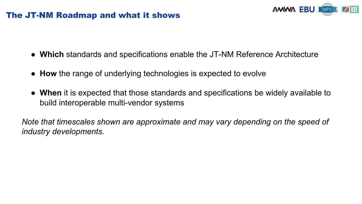#### The JT-NM Roadmap and what it shows



- **Which** standards and specifications enable the JT-NM Reference Architecture
- **How** the range of underlying technologies is expected to evolve
- **When** it is expected that those standards and specifications be widely available to build interoperable multi-vendor systems

*Note that timescales shown are approximate and may vary depending on the speed of industry developments.*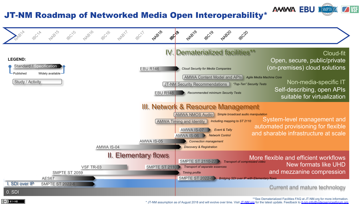#### JT-NM Roadmap of Networked Media Open Interoperability\*





\*\*See Dematerialized Facilities FAQ at JT-NM.org for more information.

**AMMA EBU I** 

 $\Box$  VSF

 $\sqrt{2}$  (SMPTE)

\* JT-NM assumption as of August 2018 and will evolve over time. Visit JT-NM.org for the latest update. Feedback to jt-nm-info@videoservicesforum.org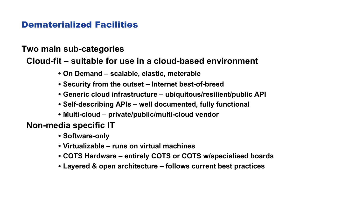### Dematerialized Facilities

#### **Two main sub-categories**

### **Cloud-fit – suitable for use in a cloud-based environment**

- **On Demand – scalable, elastic, meterable**
- **Security from the outset – Internet best-of-breed**
- **Generic cloud infrastructure – ubiquitous/resilient/public API**
- **Self-describing APIs – well documented, fully functional**
- **Multi-cloud – private/public/multi-cloud vendor**

**Non-media specific IT**

- **Software-only**
- **Virtualizable – runs on virtual machines**
- **COTS Hardware – entirely COTS or COTS w/specialised boards**
- **Layered & open architecture – follows current best practices**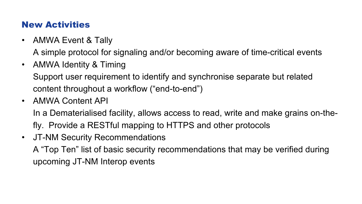### New Activities

• AMWA Event & Tally

A simple protocol for signaling and/or becoming aware of time-critical events

• AMWA Identity & Timing

Support user requirement to identify and synchronise separate but related content throughout a workflow ("end-to-end")

• AMWA Content API

In a Dematerialised facility, allows access to read, write and make grains on-thefly. Provide a RESTful mapping to HTTPS and other protocols

• JT-NM Security Recommendations

A "Top Ten" list of basic security recommendations that may be verified during upcoming JT-NM Interop events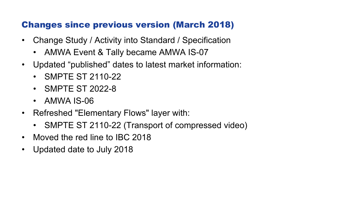## Changes since previous version (March 2018)

- Change Study / Activity into Standard / Specification
	- AMWA Event & Tally became AMWA IS-07
- Updated "published" dates to latest market information:
	- SMPTE ST 2110-22
	- SMPTE ST 2022-8
	- AMWA IS-06
- Refreshed "Elementary Flows" layer with:
	- SMPTE ST 2110-22 (Transport of compressed video)
- Moved the red line to IBC 2018
- Updated date to July 2018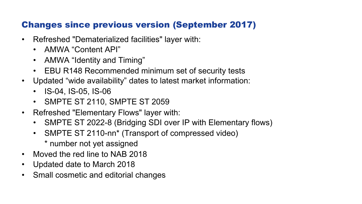# Changes since previous version (September 2017)

- Refreshed "Dematerialized facilities" layer with:
	- AMWA "Content API"
	- AMWA "Identity and Timing"
	- EBU R148 Recommended minimum set of security tests
- Updated "wide availability" dates to latest market information:
	- IS-04, IS-05, IS-06
	- SMPTE ST 2110, SMPTE ST 2059
- Refreshed "Elementary Flows" layer with:
	- SMPTE ST 2022-8 (Bridging SDI over IP with Elementary flows)
	- SMPTE ST 2110-nn\* (Transport of compressed video)
		- \* number not yet assigned
- Moved the red line to NAB 2018
- Updated date to March 2018
- Small cosmetic and editorial changes